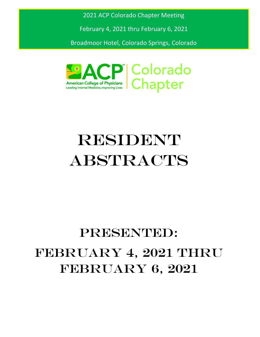2021 ACP Colorado Chapter Meeting

February 4, 2021 thru February 6, 2021

Broadmoor Hotel, Colorado Springs, Colorado



# **RESIDENT ABSTRACTS**

# PRESENTED: FEBRUARY 4, 2021 THRU FEBRUARY 6, 2021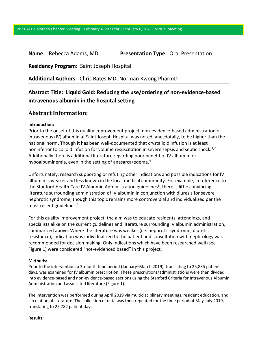# **Name:** Rebecca Adams, MD **Presentation Type:** Oral Presentation

**Residency Program:** Saint Joseph Hospital

**Additional Authors:** Chris Bates MD, Norman Kwong PharmD

# **Abstract Title: Liquid Gold: Reducing the use/ordering of non-evidence-based intravenous albumin in the hospital setting**

# **Abstract Information:**

### **Introduction:**

Prior to the onset of this quality improvement project, non-evidence-based administration of intravenous (IV) albumin at Saint Joseph Hospital was noted, anecdotally, to be higher than the national norm. Though it has been well-documented that crystalloid infusion is at least noninferior to colloid infusion for volume resuscitation in severe sepsis and septic shock.<sup>1,2</sup> Additionally there is additional literature regarding poor benefit of IV albumin for hypoalbuminemia, even in the setting of anasarca/edema.<sup>4</sup>

Unfortunately, research supporting or refuting other indications and possible indications for IV albumin is weaker and less known in the local medical community. For example, in reference to the Stanford Health Care IV Albumin Administration guidelines<sup>6</sup>, there is little convincing literature surrounding administration of IV albumin in conjunction with diuresis for severe nephrotic syndrome, though this topic remains more controversial and individualized per the most recent guidelines. $3$ 

For this quality improvement project, the aim was to educate residents, attendings, and specialists alike on the current guidelines and literature surrounding IV albumin administration, summarized above. Where the literature was weaker (i.e. nephrotic syndrome, diuretic resistance), indication was individualized to the patient and consultation with nephrology was recommended for decision making. Only indications which have been researched well (see Figure 1) were considered "not-evidenced based" in this project.

### **Methods:**

Prior to the intervention, a 3-month time period (January–March 2019), translating to 25,835 patientdays, was examined for IV albumin prescription. These prescriptions/administrations were then divided into evidence-based and non-evidence-based sections using the Stanford Criteria for Intravenous Albumin Administration and associated literature (Figure 1).

The intervention was performed during April 2019 via multidisciplinary meetings, resident education, and circulation of literature. The collection of data was then repeated for the time period of May-July 2019, translating to 25,782 patient days.

#### **Results:**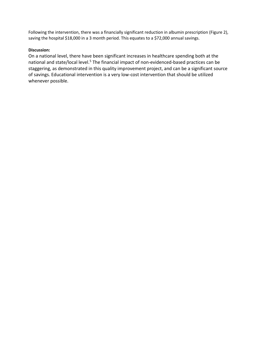Following the intervention, there was a financially significant reduction in albumin prescription (Figure 2), saving the hospital \$18,000 in a 3 month period. This equates to a \$72,000 annual savings.

# **Discussion:**

On a national level, there have been significant increases in healthcare spending both at the national and state/local level.<sup>5</sup> The financial impact of non-evidenced-based practices can be staggering, as demonstrated in this quality improvement project, and can be a significant source of savings. Educational intervention is a very low-cost intervention that should be utilized whenever possible.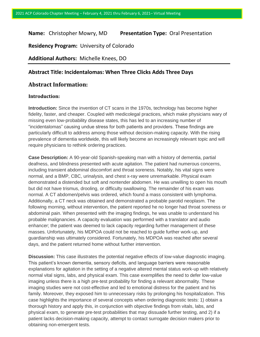# **Name:** Christopher Mowry, MD **Presentation Type:** Oral Presentation

**Residency Program:** University of Colorado

**Additional Authors:** Michelle Knees, DO

# **Abstract Title: Incidentalomas: When Three Clicks Adds Three Days**

# **Abstract Information:**

# **Introduction:**

**Introduction:** Since the invention of CT scans in the 1970s, technology has become higher fidelity, faster, and cheaper. Coupled with medicolegal practices, which make physicians wary of missing even low-probability disease states, this has led to an increasing number of "incidentalomas" causing undue stress for both patients and providers. These findings are particularly difficult to address among those without decision-making capacity. With the rising prevalence of dementia worldwide, this will likely become an increasingly relevant topic and will require physicians to rethink ordering practices.

**Case Description:** A 90-year-old Spanish-speaking man with a history of dementia, partial deafness, and blindness presented with acute agitation. The patient had numerous concerns, including transient abdominal discomfort and throat soreness. Notably, his vital signs were normal, and a BMP, CBC, urinalysis, and chest x-ray were unremarkable. Physical exam demonstrated a distended but soft and nontender abdomen. He was unwilling to open his mouth but did not have trismus, drooling, or difficulty swallowing. The remainder of his exam was normal. A CT abdomen/pelvis was ordered, which found a mass consistent with lymphoma. Additionally, a CT neck was obtained and demonstrated a probable parotid neoplasm. The following morning, without intervention, the patient reported he no longer had throat soreness or abdominal pain. When presented with the imaging findings, he was unable to understand his probable malignancies. A capacity evaluation was performed with a translator and audio enhancer; the patient was deemed to lack capacity regarding further management of these masses. Unfortunately, his MDPOA could not be reached to guide further work-up, and guardianship was ultimately considered. Fortunately, his MDPOA was reached after several days, and the patient returned home without further intervention.

**Discussion:** This case illustrates the potential negative effects of low-value diagnostic imaging. This patient's known dementia, sensory deficits, and language barriers were reasonable explanations for agitation in the setting of a negative altered mental status work-up with relatively normal vital signs, labs, and physical exam. This case exemplifies the need to defer low-value imaging unless there is a high pre-test probability for finding a relevant abnormality. These imaging studies were not cost-effective and led to emotional distress for the patient and his family. Moreover, they exposed him to unnecessary risks by prolonging his hospitalization. This case highlights the importance of several concepts when ordering diagnostic tests: 1) obtain a thorough history and apply this, in conjunction with objective findings from vitals, labs, and physical exam, to generate pre-test probabilities that may dissuade further testing, and 2) if a patient lacks decision-making capacity, attempt to contact surrogate decision makers prior to obtaining non-emergent tests.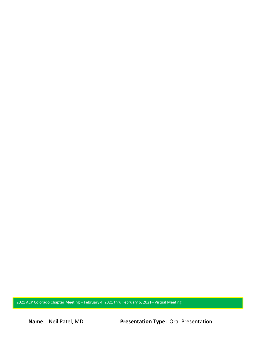2021 ACP Colorado Chapter Meeting – February 4, 2021 thru February 6, 2021– Virtual Meeting

**Name:** Neil Patel, MD **Presentation Type:** Oral Presentation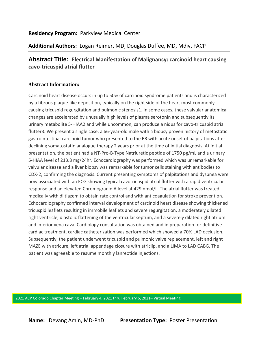# **Residency Program:** Parkview Medical Center

# **Additional Authors:** Logan Reimer, MD, Douglas Duffee, MD, Mdiv, FACP

# **Abstract Title: Electrical Manifestation of Malignancy: carcinoid heart causing cavo-tricuspid atrial flutter**

# **Abstract Information:**

Carcinoid heart disease occurs in up to 50% of carcinoid syndrome patients and is characterized by a fibrous plaque-like deposition, typically on the right side of the heart most commonly causing tricuspid regurgitation and pulmonic stenosis1. In some cases, these valvular anatomical changes are accelerated by unusually high levels of plasma serotonin and subsequently its urinary metabolite 5-HIAA2 and while uncommon, can produce a nidus for cavo-tricuspid atrial flutter3. We present a single case, a 66-year-old male with a biopsy proven history of metastatic gastrointestinal carcinoid tumor who presented to the ER with acute onset of palpitations after declining somatostatin analogue therapy 2 years prior at the time of initial diagnosis. At initial presentation, the patient had a NT-Pro-B-Type Natriuretic peptide of 1750 pg/mL and a urinary 5-HIAA level of 213.8 mg/24hr. Echocardiography was performed which was unremarkable for valvular disease and a liver biopsy was remarkable for tumor cells staining with antibodies to CDX-2, confirming the diagnosis. Current presenting symptoms of palpitations and dyspnea were now associated with an ECG showing typical cavotricuspid atrial flutter with a rapid ventricular response and an elevated Chromogranin A level at 429 nmol/L. The atrial flutter was treated medically with diltiazem to obtain rate control and with anticoagulation for stroke prevention. Echocardiography confirmed interval development of carcinoid heart disease showing thickened tricuspid leaflets resulting in immobile leaflets and severe regurgitation, a moderately dilated right ventricle, diastolic flattening of the ventricular septum, and a severely dilated right atrium and inferior vena cava. Cardiology consultation was obtained and in preparation for definitive cardiac treatment, cardiac catheterization was performed which showed a 70% LAD occlusion. Subsequently, the patient underwent tricuspid and pulmonic valve replacement, left and right MAZE with atricure, left atrial appendage closure with atriclip, and a LIMA to LAD CABG. The patient was agreeable to resume monthly lanreotide injections.

2021 ACP Colorado Chapter Meeting – February 4, 2021 thru February 6, 2021– Virtual Meeting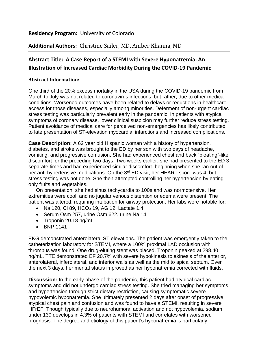# **Residency Program:** University of Colorado

# **Additional Authors:** Christine Sailer, MD, Amber Khanna, MD

# **Abstract Title: A Case Report of a STEMI with Severe Hyponatremia: An Illustration of Increased Cardiac Morbidity During the COVID-19 Pandemic**

# **Abstract Information:**

One third of the 20% excess mortality in the USA during the COVID-19 pandemic from March to July was not related to coronavirus infections, but rather, due to other medical conditions. Worsened outcomes have been related to delays or reductions in healthcare access for those diseases, especially among minorities. Deferment of non-urgent cardiac stress testing was particularly prevalent early in the pandemic. In patients with atypical symptoms of coronary disease, lower clinical suspicion may further reduce stress testing. Patient avoidance of medical care for perceived non-emergencies has likely contributed to late presentation of ST-elevation myocardial infarctions and increased complications.

**Case Description:** A 62 year old Hispanic woman with a history of hypertension, diabetes, and stroke was brought to the ED by her son with two days of headache, vomiting, and progressive confusion. She had experienced chest and back "bloating"-like discomfort for the preceding two days. Two weeks earlier, she had presented to the ED 3 separate times and had experienced similar discomfort, beginning when she ran out of her anti-hypertensive medications. On the 3<sup>rd</sup> ED visit, her HEART score was 4, but stress testing was not done. She then attempted controlling her hypertension by eating only fruits and vegetables.

On presentation, she had sinus tachycardia to 100s and was normotensive. Her extremities were cool, and no jugular venous distention or edema were present. The patient was altered, requiring intubation for airway protection. Her labs were notable for:

- Na 120, Cl 89, HCO<sub>3</sub> 19, AG 12. Lactate 1.4.
- Serum Osm 257, urine Osm 622, urine Na 14
- Troponin 20.18 ng/mL
- BNP 1141

EKG demonstrated anterolateral ST elevations. The patient was emergently taken to the catheterization laboratory for STEMI, where a 100% proximal LAD occlusion with thrombus was found. One drug-eluting stent was placed. Troponin peaked at 298.40 ng/mL. TTE demonstrated EF 20.7% with severe hypokinesis to akinesis of the anterior, anterolateral, inferolateral, and inferior walls as well as the mid to apical septum. Over the next 3 days, her mental status improved as her hyponatremia corrected with fluids.

**Discussion:** In the early phase of the pandemic, this patient had atypical cardiac symptoms and did not undergo cardiac stress testing. She tried managing her symptoms and hypertension through strict dietary restriction, causing symptomatic severe hypovolemic hyponatremia. She ultimately presented 2 days after onset of progressive atypical chest pain and confusion and was found to have a STEMI, resulting in severe HFrEF. Though typically due to neurohumoral activation and not hypovolemia, sodium under 130 develops in 4.3% of patients with STEMI and correlates with worsened prognosis. The degree and etiology of this patient's hyponatremia is particularly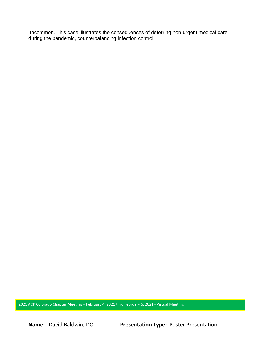uncommon. This case illustrates the consequences of deferring non-urgent medical care during the pandemic, counterbalancing infection control.

2021 ACP Colorado Chapter Meeting – February 4, 2021 thru February 6, 2021– Virtual Meeting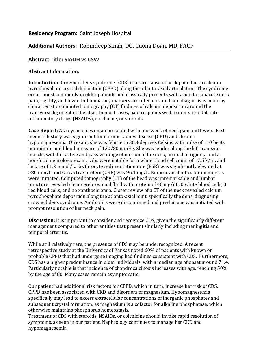# **Residency Program:** Saint Joseph Hospital

# **Additional Authors:** Rohindeep Singh, DO, Cuong Doan, MD, FACP

# **Abstract Title: SIADH vs CSW**

# **Abstract Information:**

**Introduction:** Crowned dens syndrome (CDS) is a rare cause of neck pain due to calcium pyrophosphate crystal deposition (CPPD) along the atlanto-axial articulation. The syndrome occurs most commonly in older patients and classically presents with acute to subacute neck pain, rigidity, and fever. Inflammatory markers are often elevated and diagnosis is made by characteristic computed tomography (CT) findings of calcium deposition around the transverse ligament of the atlas. In most cases, pain responds well to non-steroidal antiinflammatory drugs (NSAIDs), colchicine, or steroids.

**Case Report:** A 76-year-old woman presented with one week of neck pain and fevers. Past medical history was significant for chronic kidney disease (CKD) and chronic hypomagnesemia. On exam, she was febrile to 38.4 degrees Celsius with pulse of 110 beats per minute and blood pressure of 130/80 mmHg. She was tender along the left trapezius muscle, with full active and passive range of motion of the neck, no nuchal rigidity, and a non-focal neurologic exam. Labs were notable for a white blood cell count of 17.5 k/uL and lactate of 1.2 mmol/L. Erythrocyte sedimentation rate (ESR) was significantly elevated at >80 mm/h and C-reactive protein (CRP) was 96.1 mg/L. Empiric antibiotics for meningitis were initiated. Computed tomography (CT) of the head was unremarkable and lumbar puncture revealed clear cerebrospinal fluid with protein of 40 mg/dL, 0 white blood cells, 0 red blood cells, and no xanthochromia. Closer review of a CT of the neck revealed calcium pyrophosphate deposition along the atlanto-axial joint, specifically the dens, diagnosing crowned dens syndrome. Antibiotics were discontinued and prednisone was initiated with prompt resolution of her neck pain.

**Discussion:** It is important to consider and recognize CDS, given the significantly different management compared to other entities that present similarly including meningitis and temporal arteritis.

While still relatively rare, the presence of CDS may be underrecognized. A recent retrospective study at the University of Kansas noted 60% of patients with known or probable CPPD that had undergone imaging had findings consistent with CDS. Furthermore, CDS has a higher predominance in older individuals, with a median age of onset around 71.4. Particularly notable is that incidence of chondrocalcinosis increases with age, reaching 50% by the age of 80. Many cases remain asymptomatic.

Our patient had additional risk factors for CPPD, which in turn, increase her risk of CDS. CPPD has been associated with CKD and disorders of magnesium. Hypomagnesemia specifically may lead to excess extracellular concentrations of inorganic phosphates and subsequent crystal formation, as magnesium is a cofactor for alkaline phosphatase, which otherwise maintains phosphorus homeostasis.

Treatment of CDS with steroids, NSAIDs, or colchicine should invoke rapid resolution of symptoms, as seen in our patient. Nephrology continues to manage her CKD and hypomagnesemia.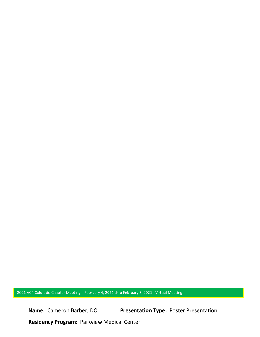2021 ACP Colorado Chapter Meeting – February 4, 2021 thru February 6, 2021– Virtual Meeting

**Name:** Cameron Barber, DO **Presentation Type:** Poster Presentation

**Residency Program:** Parkview Medical Center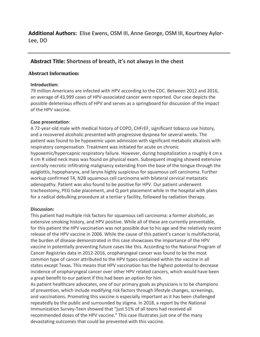# **Abstract Title: Shortness of breath, it's not always in the chest**

# **Abstract Information:**

# **Introduction:**

79 million Americans are infected with HPV according to the CDC. Between 2012 and 2016, an average of 43,999 cases of HPV-associated cancer were reported. Our case depicts the possible deleterious effects of HPV and serves as a springboard for discussion of the impact of the HPV vaccine.

# **Case presentation**:

A 72-year-old male with medical history of COPD, CHFrEF, significant tobacco use history, and a recovered alcoholic presented with progressive dyspnea for several weeks. The patient was found to be hypoxemic upon admission with significant metabolic alkalosis with respiratory compensation. Treatment was initiated for acute on chronic hypoxemic/hypercapnic respiratory failure. However, during hospitalization a roughly 4 cm x 4 cm R sided neck mass was found on physical exam. Subsequent imaging showed extensive centrally necrotic infiltrating malignancy extending from the base of the tongue through the epiglottis, hypopharynx, and larynx highly suspicious for squamous cell carcinoma. Further workup confirmed T4, N2B squamous cell carcinoma with bilateral cervical metastatic adenopathy. Patient was also found to be positive for HPV. Our patient underwent tracheostomy, PEG tube placement, and Q port placement while in the hospital with plans for a radical debulking procedure at a tertiar y facility, followed by radiation therapy.

# **Discussion:**

This patient had multiple risk factors for squamous cell carcinoma: a former alcoholic, an extensive smoking history, and HPV positive. While all of these are currently preventable, for this patient the HPV vaccination was not possible due to his age and the relatively recent release of the HPV vaccine in 2006. While the cause of this patient's cancer is multifactorial, the burden of disease demonstrated in this case showcases the importance of the HPV vaccine in potentially preventing future cases like this. According to the National Program of Cancer Registries data in 2012-2016, oropharyngeal cancer was found to be the most common type of cancer attributed to the HPV types contained within the vaccine in all states except Texas. This means that HPV vaccination has the highest potential to decrease incidence of oropharyngeal cancer over other HPV related cancers, which would have been a great benefit to our patient if this had been an option for him.

As patient healthcare advocates, one of our primary goals as physicians is to be champions of prevention, which include modifying risk factors through lifestyle changes, screenings, and vaccinations. Promoting this vaccine is especially important as it has been challenged repeatedly by the public and surrounded by stigma. In 2018, a report by the National Immunization Survey-Teen showed that "just 51% of all teens had received all recommended doses of the HPV vaccine." This case illustrates just one of the many devastating outcomes that could be prevented with this vaccine.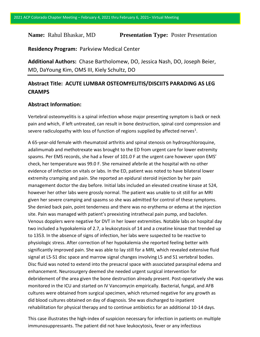# **Name:** Rahul Bhaskar, MD **Presentation Type:** Poster Presentation

**Residency Program:** Parkview Medical Center

**Additional Authors:** Chase Bartholomew, DO, Jessica Nash, DO, Joseph Beier, MD, DaYoung Kim, OMS III, Kiely Schultz, DO

# **Abstract Title: ACUTE LUMBAR OSTEOMYELITIS/DISCIITS PARADING AS LEG CRAMPS**

# **Abstract Information:**

Vertebral osteomyelitis is a spinal infection whose major presenting symptom is back or neck pain and which, if left untreated, can result in bone destruction, spinal cord compression and severe radiculopathy with loss of function of regions supplied by affected nerves<sup>1</sup>.

A 65-year-old female with rheumatoid arthritis and spinal stenosis on hydroxychloroquine, adalimumab and methotrexate was brought to the ED from urgent care for lower extremity spasms. Per EMS records, she had a fever of 101.0 F at the urgent care however upon EMS' check, her temperature was 99.0 F. She remained afebrile at the hospital with no other evidence of infection on vitals or labs. In the ED, patient was noted to have bilateral lower extremity cramping and pain. She reported an epidural steroid injection by her pain management doctor the day before. Initial labs included an elevated creatine kinase at 524, however her other labs were grossly normal. The patient was unable to sit still for an MRI given her severe cramping and spasms so she was admitted for control of these symptoms. She denied back pain, point tenderness and there was no erythema or edema at the injection site. Pain was managed with patient's preexisting intrathecal pain pump, and baclofen. Venous dopplers were negative for DVT in her lower extremities. Notable labs on hospital day two included a hypokalemia of 2.7, a leukocytosis of 14 and a creatine kinase that trended up to 1353. In the absence of signs of infection, her labs were suspected to be reactive to physiologic stress. After correction of her hypokalemia she reported feeling better with significantly improved pain. She was able to lay still for a MRI, which revealed extensive fluid signal at L5-S1 disc space and marrow signal changes involving L5 and S1 vertebral bodies. Disc fluid was noted to extend into the presacral space with associated paraspinal edema and enhancement. Neurosurgery deemed she needed urgent surgical intervention for debridement of the area given the bone destruction already present. Post-operatively she was monitored in the ICU and started on IV Vancomycin empirically. Bacterial, fungal, and AFB cultures were obtained from surgical specimen, which returned negative for any growth as did blood cultures obtained on day of diagnosis. She was discharged to inpatient rehabilitation for physical therapy and to continue antibiotics for an additional 10-14 days.

This case illustrates the high-index of suspicion necessary for infection in patients on multiple immunosuppressants. The patient did not have leukocytosis, fever or any infectious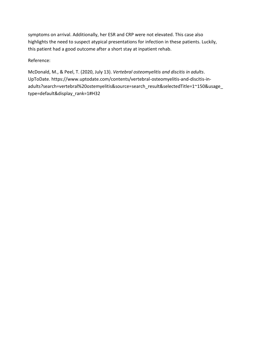symptoms on arrival. Additionally, her ESR and CRP were not elevated. This case also highlights the need to suspect atypical presentations for infection in these patients. Luckily, this patient had a good outcome after a short stay at inpatient rehab.

Reference:

McDonald, M., & Peel, T. (2020, July 13). *Vertebral osteomyelitis and discitis in adults*. UpToDate. https://www.uptodate.com/contents/vertebral-osteomyelitis-and-discitis-inadults?search=vertebral%20ostemyelitis&source=search\_result&selectedTitle=1~150&usage\_ type=default&display\_rank=1#H32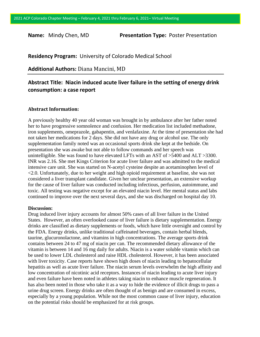**Name:** Mindy Chen, MD **Presentation Type:** Poster Presentation

**Residency Program:** University of Colorado Medical School

**Additional Authors:** Diana Mancini, MD

# **Abstract Title: Niacin induced acute liver failure in the setting of energy drink consumption: a case report**

### **Abstract Information:**

A previously healthy 40 year old woman was brought in by ambulance after her father noted her to have progressive somnolence and confusion. Her medication list included methadone, iron supplements, omeprazole, gabapentin, and venlafaxine. At the time of presentation she had not taken her medications for 2 days. She did not have any drug or alcohol use. The only supplementation family noted was an occasional sports drink she kept at the bedside. On presentation she was awake but not able to follow commands and her speech was unintelligible. She was found to have elevated LFTs with an AST of >5400 and ALT >3300. INR was 2.16. She met Kings Criterion for acute liver failure and was admitted to the medical intensive care unit. She was started on N-acetyl cysteine despite an acetaminophen level of <2.0. Unfortunately, due to her weight and high opioid requirement at baseline, she was not considered a liver transplant candidate. Given her unclear presentation, an extensive workup for the cause of liver failure was conducted including infectious, perfusion, autoimmune, and toxic. All testing was negative except for an elevated niacin level. Her mental status and labs continued to improve over the next several days, and she was discharged on hospital day 10.

#### **Discussion:**

Drug induced liver injury accounts for almost 50% cases of all liver failure in the United States. However, an often overlooked cause of liver failure is dietary supplementation. Energy drinks are classified as dietary supplements or foods, which have little oversight and control by the FDA. Energy drinks, unlike traditional caffeinated beverages, contain herbal blends, taurine, glucuronolactone, and vitamins in high concentrations. The average sports drink contains between 24 to 47 mg of niacin per can. The recommended dietary allowance of the vitamin is between 14 and 16 mg daily for adults. Niacin is a water soluble vitamin which can be used to lower LDL cholesterol and raise HDL cholesterol. However, it has been associated with liver toxicity. Case reports have shown high doses of niacin leading to hepatocellular hepatitis as well as acute liver failure. The niacin serum levels overwhelm the high affinity and low concentration of nicotinic acid receptors. Instances of niacin leading to acute liver injury and even failure have been noted in athletes taking niacin to enhance muscle regeneration. It has also been noted in those who take it as a way to hide the evidence of illicit drugs to pass a urine drug screen. Energy drinks are often thought of as benign and are consumed in excess, especially by a young population. While not the most common cause of liver injury, education on the potential risks should be emphasized for at risk groups.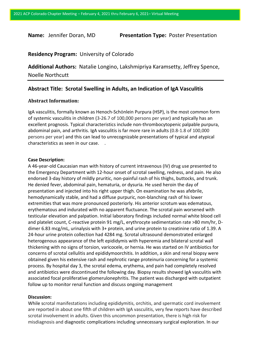**Name:** Jennifer Doran, MD **Presentation Type:** Poster Presentation

# **Residency Program:** University of Colorado

**Additional Authors:** Natalie Longino, Lakshmipriya Karamsetty, Jeffrey Spence, Noelle Northcutt

# **Abstract Title: Scrotal Swelling in Adults, an Indication of IgA Vasculitis**

## **Abstract Information:**

IgA vasculitis, formally known as Henoch-Schönlein Purpura (HSP), is the most common form of systemic vasculitis in children (3-26.7 of 100,000 persons per year) and typically has an excellent prognosis. Typical characteristics include non-thrombocytopenic palpable purpura, abdominal pain, and arthritis. IgA vasculitis is far more rare in adults (0.8-1.8 of 100,000 persons per year) and this can lead to unrecognizable presentations of typical and atypical characteristics as seen in our case. .

#### **Case Description:**

A 46-year-old Caucasian man with history of current intravenous (IV) drug use presented to the Emergency Department with 12-hour onset of scrotal swelling, redness, and pain. He also endorsed 3-day history of mildly pruritic, non-painful rash of his thighs, buttocks, and trunk. He denied fever, abdominal pain, hematuria, or dysuria. He used heroin the day of presentation and injected into his right upper thigh. On examination he was afebrile, hemodynamically stable, and had a diffuse purpuric, non-blanching rash of his lower extremities that was more pronounced posteriorly. His anterior scrotum was edematous, erythematous and indurated with no apparent fluctuance. The scrotal pain worsened with testicular elevation and palpation. Initial laboratory findings included normal white blood cell and platelet count, C-reactive protein 91 mg/L, erythrocyte sedimentation rate >80 mm/hr, Ddimer 6.83 mcg/mL, urinalysis with 3+ protein, and urine protein to creatinine ratio of 1.39. A 24-hour urine protein collection had 4284 mg. Scrotal ultrasound demonstrated enlarged heterogenous appearance of the left epididymis with hyperemia and bilateral scrotal wall thickening with no signs of torsion, varicocele, or hernia. He was started on IV antibiotics for concerns of scrotal cellulitis and epididymoorchitis. In addition, a skin and renal biopsy were obtained given his extensive rash and nephrotic range proteinuria concerning for a systemic process. By hospital day 3, the scrotal edema, erythema, and pain had completely resolved and antibiotics were discontinued the following day. Biopsy results showed IgA vasculitis with associated focal proliferative glomerulonephritis. The patient was discharged with outpatient follow up to monitor renal function and discuss ongoing management

### **Discussion:**

While scrotal manifestations including epididymitis, orchitis, and spermatic cord involvement are reported in about one fifth of children with IgA vasculitis, very few reports have described scrotal involvement in adults. Given this uncommon presentation, there is high risk for misdiagnosis and diagnostic complications including unnecessary surgical exploration. In our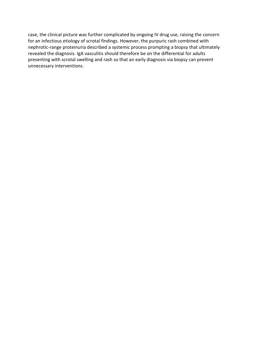case, the clinical picture was further complicated by ongoing IV drug use, raising the concern for an infectious etiology of scrotal findings. However, the purpuric rash combined with nephrotic-range proteinuria described a systemic process prompting a biopsy that ultimately revealed the diagnosis. IgA vasculitis should therefore be on the differential for adults presenting with scrotal swelling and rash so that an early diagnosis via biopsy can prevent unnecessary interventions.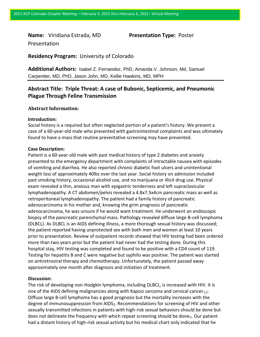**Name:** Viridiana Estrada, MD **Presentation Type:** Poster Presentation

**Residency Program:** University of Colorado

**Additional Authors:** Isabel Z. Fernandez, PhD, Amanda V. Johnson, Md, Samuel Carpentier, MD, PhD, Jason John, MD, Kellie Hawkins, MD, MPH

# **Abstract Title: Triple Threat: A case of Bubonic, Septicemic, and Pneumonic Plague Through Feline Transmission**

### **Abstract Information:**

#### **Introduction:**

Social history is a required but often neglected portion of a patient's history. We present a case of a 60-year-old male who presented with gastrointestinal complaints and was ultimately found to have a mass that routine preventative screening may have prevented.

#### **Case Description:**

Patient is a 60-year-old male with past medical history of type 2 diabetes and anxiety presented to the emergency department with complaints of intractable nausea with episodes of vomiting and diarrhea. He also reported chronic diabetic foot ulcers and unintentional weight loss of approximately 40lbs over the last year. Social history on admission included past smoking history, occasional alcohol use, and no marijuana or illicit drug use. Physical exam revealed a thin, anxious man with epigastric tenderness and left supraclavicular lymphadenopathy. A CT abdomen/pelvis revealed a 4.8x7.5x4cm pancreatic mass as well as retroperitoneal lymphadenopathy. The patient had a family history of pancreatic adenocarcinoma in his mother and, knowing the grim prognosis of pancreatic adenocarcinoma, he was unsure if he would want treatment. He underwent an endoscopic biopsy of the pancreatic parenchymal mass. Pathology revealed diffuse large B-cell lymphoma (DLBCL). As DLBCL is an AIDS defining illness, a more thorough sexual history was discussed; the patient reported having unprotected sex with both men and women at least 10 years prior to presentation. Review of outpatient records showed that HIV testing had been ordered more than two years prior but the patient had never had the testing done. During this hospital stay, HIV testing was completed and found to be positive with a CD4 count of 119. Testing for hepatitis B and C were negative but syphilis was positive. The patient was started on antiretroviral therapy and chemotherapy. Unfortunately, the patient passed away approximately one month after diagnosis and initiation of treatment.

#### **Discussion:**

The risk of developing non-Hodgkin lymphoma, including DLBCL, is increased with HIV. It is one of the AIDS defining malignancies along with Kaposi sarcoma and cervical cancer<sub>1.2</sub>. Diffuse large B-cell lymphoma has a good prognosis but the mortality increases with the degree of immunosuppression from AIDS<sub>2</sub>. Recommendations for screening of HIV and other sexually transmitted infections in patients with high-risk sexual behaviors should be done but does not delineate the frequency with which repeat screening should be done<sub>3</sub>. Our patient had a distant history of high-risk sexual activity but his medical chart only indicated that he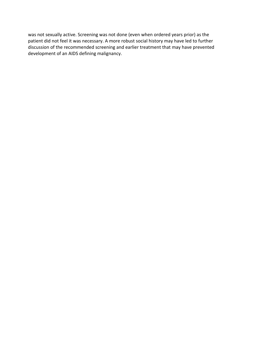was not sexually active. Screening was not done (even when ordered years prior) as the patient did not feel it was necessary. A more robust social history may have led to further discussion of the recommended screening and earlier treatment that may have prevented development of an AIDS defining malignancy.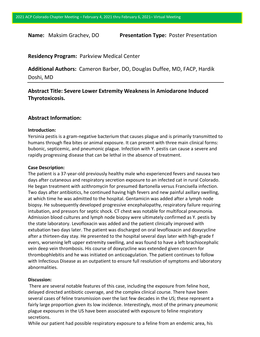**Name:** Maksim Grachev, DO **Presentation Type:** Poster Presentation

# **Residency Program:** Parkview Medical Center

**Additional Authors:** Cameron Barber, DO, Douglas Duffee, MD, FACP, Hardik Doshi, MD

**Abstract Title: Severe Lower Extremity Weakness in Amiodarone Induced Thyrotoxicosis.**

# **Abstract Information:**

### **Introduction:**

Yersinia pestis is a gram-negative bacterium that causes plague and is primarily transmitted to humans through flea bites or animal exposure. It can present with three main clinical forms: bubonic, septicemic, and pneumonic plague. Infection with Y. pestis can cause a severe and rapidly progressing disease that can be lethal in the absence of treatment.

### **Case Description:**

The patient is a 37-year-old previously healthy male who experienced fevers and nausea two days after cutaneous and respiratory secretion exposure to an infected cat in rural Colorado. He began treatment with azithromycin for presumed Bartonella versus Francisella infection. Two days after antibiotics, he continued having high fevers and new painful axillary swelling, at which time he was admitted to the hospital. Gentamicin was added after a lymph node biopsy. He subsequently developed progressive encephalopathy, respiratory failure requiring intubation, and pressors for septic shock. CT chest was notable for multifocal pneumonia. Admission blood cultures and lymph node biopsy were ultimately confirmed as Y. pestis by the state laboratory. Levofloxacin was added and the patient clinically improved with extubation two days later. The patient was discharged on oral levofloxacin and doxycycline after a thirteen-day stay. He presented to the hospital several days later with high-grade f evers, worsening left upper extremity swelling, and was found to have a left brachiocephalic vein deep vein thrombosis. His course of doxycycline was extended given concern for thrombophlebitis and he was initiated on anticoagulation. The patient continues to follow with Infectious Disease as an outpatient to ensure full resolution of symptoms and laboratory abnormalities.

### **Discussion:**

There are several notable features of this case, including the exposure from feline host, delayed directed antibiotic coverage, and the complex clinical course. There have been several cases of feline transmission over the last few decades in the US; these represent a fairly large proportion given its low incidence. Interestingly, most of the primary pneumonic plague exposures in the US have been associated with exposure to feline respiratory secretions.

While our patient had possible respiratory exposure to a feline from an endemic area, his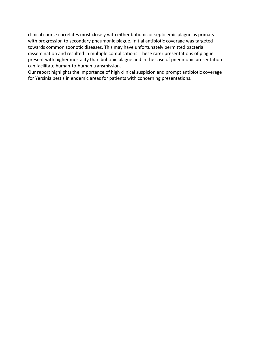clinical course correlates most closely with either bubonic or septicemic plague as primary with progression to secondary pneumonic plague. Initial antibiotic coverage was targeted towards common zoonotic diseases. This may have unfortunately permitted bacterial dissemination and resulted in multiple complications. These rarer presentations of plague present with higher mortality than bubonic plague and in the case of pneumonic presentation can facilitate human-to-human transmission.

Our report highlights the importance of high clinical suspicion and prompt antibiotic coverage for Yersinia pestis in endemic areas for patients with concerning presentations.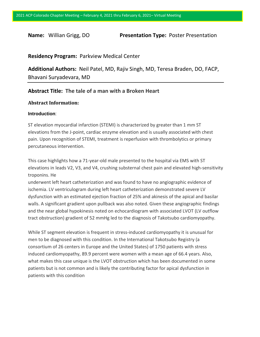**Name:** Willian Grigg, DO **Presentation Type:** Poster Presentation

# **Residency Program:** Parkview Medical Center

**Additional Authors:** Neil Patel, MD, Rajiv Singh, MD, Teresa Braden, DO, FACP, Bhavani Suryadevara, MD

# **Abstract Title: The tale of a man with a Broken Heart**

# **Abstract Information:**

#### **Introduction**:

ST elevation myocardial infarction (STEMI) is characterized by greater than 1 mm ST elevations from the J-point, cardiac enzyme elevation and is usually associated with chest pain. Upon recognition of STEMI, treatment is reperfusion with thrombolytics or primary percutaneous intervention.

This case highlights how a 71-year-old male presented to the hospital via EMS with ST elevations in leads V2, V3, and V4, crushing substernal chest pain and elevated high-sensitivity troponins. He

underwent left heart catheterization and was found to have no angiographic evidence of ischemia. LV ventriculogram during left heart catheterization demonstrated severe LV dysfunction with an estimated ejection fraction of 25% and akinesis of the apical and basilar walls. A significant gradient upon pullback was also noted. Given these angiographic findings and the near global hypokinesis noted on echocardiogram with associated LVOT (LV outflow tract obstruction) gradient of 52 mmHg led to the diagnosis of Takotsubo cardiomyopathy.

While ST segment elevation is frequent in stress-induced cardiomyopathy it is unusual for men to be diagnosed with this condition. In the International Takotsubo Registry (a consortium of 26 centers in Europe and the United States) of 1750 patients with stress induced cardiomyopathy, 89.9 percent were women with a mean age of 66.4 years. Also, what makes this case unique is the LVOT obstruction which has been documented in some patients but is not common and is likely the contributing factor for apical dysfunction in patients with this condition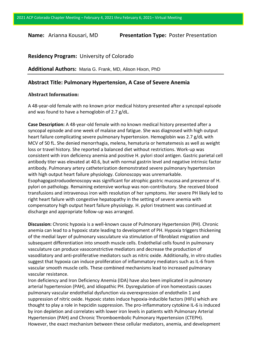**Name:** Arianna Kousari, MD **Presentation Type:** Poster Presentation

# **Residency Program:** University of Colorado

**Additional Authors:** Maria G. Frank, MD, Alison Hixon, PhD

# **Abstract Title: Pulmonary Hypertension, A Case of Severe Anemia**

#### **Abstract Information:**

.

A 48-year-old female with no known prior medical history presented after a syncopal episode and was found to have a hemoglobin of 2.7 g/dL.

**Case Description:** A 48-year-old female with no known medical history presented after a syncopal episode and one week of malaise and fatigue. She was diagnosed with high output heart failure complicating severe pulmonary hypertension. Hemoglobin was 2.7 g/dL with MCV of 50 fL. She denied menorrhagia, melena, hematuria or hematemesis as well as weight loss or travel history. She reported a balanced diet without restrictions. Work-up was consistent with iron deficiency anemia and positive H. pylori stool antigen. Gastric parietal cell antibody titer was elevated at 40.6, but with normal gastrin level and negative intrinsic factor antibody. Pulmonary artery catheterization demonstrated severe pulmonary hypertension with high output heart failure physiology. Colonoscopy was unremarkable. Esophagogastroduodenoscopy was significant for atrophic gastric mucosa and presence of H. pylori on pathology. Remaining extensive workup was non-contributory. She received blood transfusions and intravenous iron with resolution of her symptoms. Her severe PH likely led to right heart failure with congestive hepatopathy in the setting of severe anemia with compensatory high output heart failure physiology. H. pylori treatment was continued at discharge and appropriate follow-up was arranged.

**Discussion:** Chronic hypoxia is a well-known cause of Pulmonary Hypertension (PH). Chronic anemia can lead to a hypoxic state leading to development of PH. Hypoxia triggers thickening of the medial layer of pulmonary vasculature via stimulation of fibroblast migration and subsequent differentiation into smooth muscle cells. Endothelial cells found in pulmonary vasculature can produce vasoconstrictive mediators and decrease the production of vasodilatory and anti-proliferative mediators such as nitric oxide. Additionally, in vitro studies suggest that hypoxia can induce proliferation of inflammatory mediators such as IL-6 from vascular smooth muscle cells. These combined mechanisms lead to increased pulmonary vascular resistance.

Iron deficiency and Iron Deficiency Anemia (IDA) have also been implicated in pulmonary arterial hypertension (PAH), and idiopathic PH. Dysregulation of iron homeostasis causes pulmonary vascular endothelial dysfunction via overexpression of endothelin 1 and suppression of nitric oxide. Hypoxic states induce hypoxia-inducible factors (HIFs) which are thought to play a role in hepcidin suppression. The pro-inflammatory cytokine IL-6 is induced by iron depletion and correlates with lower iron levels in patients with Pulmonary Arterial Hypertension (PAH) and Chronic Thromboembolic Pulmonary Hypertension (CTEPH). However, the exact mechanism between these cellular mediators, anemia, and development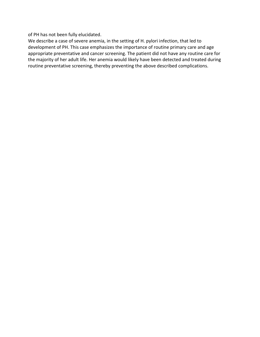of PH has not been fully elucidated.

We describe a case of severe anemia, in the setting of H. pylori infection, that led to development of PH. This case emphasizes the importance of routine primary care and age appropriate preventative and cancer screening. The patient did not have any routine care for the majority of her adult life. Her anemia would likely have been detected and treated during routine preventative screening, thereby preventing the above described complications.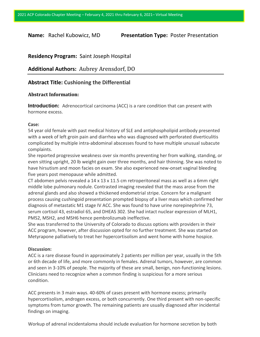**Name:** Rachel Kubowicz, MD **Presentation Type:** Poster Presentation

# **Residency Program:** Saint Joseph Hospital

**Additional Authors:** Aubrey Arensdorf, DO

# **Abstract Title: Cushioning the Differential**

#### **Abstract Information:**

**Introduction:** Adrenocortical carcinoma (ACC) is a rare condition that can present with hormone excess.

#### **Case:**

54 year old female with past medical history of SLE and antiphospholipid antibody presented with a week of left groin pain and diarrhea who was diagnosed with perforated diverticulitis complicated by multiple intra-abdominal abscesses found to have multiple unusual subacute complaints.

She reported progressive weakness over six months preventing her from walking, standing, or even sitting upright, 20 lb weight gain over three months, and hair thinning. She was noted to have hirsutism and moon facies on exam. She also experienced new-onset vaginal bleeding five years post menopause while admitted.

CT abdomen pelvis revealed a  $14 \times 13 \times 11.5$  cm retroperitoneal mass as well as a 6mm right middle lobe pulmonary nodule. Contrasted imaging revealed that the mass arose from the adrenal glands and also showed a thickened endometrial stripe. Concern for a malignant process causing cushingoid presentation prompted biopsy of a liver mass which confirmed her diagnosis of metastatic M1 stage IV ACC. She was found to have urine norepinephrine 73, serum cortisol 43, estradiol 65, and DHEAS 302. She had intact nuclear expression of MLH1, PMS2, MSH2, and MSH6 hence pembrolizumab ineffective.

She was transferred to the University of Colorado to discuss options with providers in their ACC program, however, after discussion opted for no further treatment. She was started on Metyrapone palliatively to treat her hypercortisolism and went home with home hospice.

#### **Discussion:**

ACC is a rare disease found in approximately 2 patients per million per year, usually in the 5th or 6th decade of life, and more commonly in females. Adrenal tumors, however, are common and seen in 3-10% of people. The majority of these are small, benign, non-functioning lesions. Clinicians need to recognize when a common finding is suspicious for a more serious condition.

ACC presents in 3 main ways. 40-60% of cases present with hormone excess; primarily hypercortisolism, androgen excess, or both concurrently. One third present with non-specific symptoms from tumor growth. The remaining patients are usually diagnosed after incidental findings on imaging.

Workup of adrenal incidentaloma should include evaluation for hormone secretion by both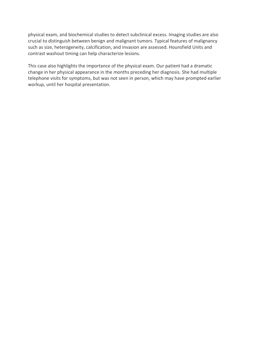physical exam, and biochemical studies to detect subclinical excess. Imaging studies are also crucial to distinguish between benign and malignant tumors. Typical features of malignancy such as size, heterogeneity, calcification, and invasion are assessed. Hounsfield Units and contrast washout timing can help characterize lesions.

This case also highlights the importance of the physical exam. Our patient had a dramatic change in her physical appearance in the months preceding her diagnosis. She had multiple telephone visits for symptoms, but was not seen in person, which may have prompted earlier workup, until her hospital presentation.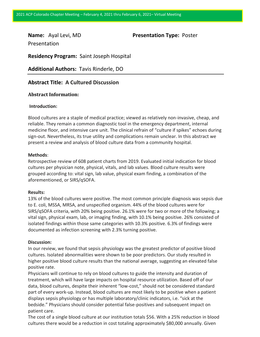Presentation

**Name:** Ayal Levi, MD **Presentation Type:** Poster

**Residency Program:** Saint Joseph Hospital

**Additional Authors:** Tavis Rinderle, DO

# **Abstract Title: A Cultured Discussion**

### **Abstract Information:**

#### **Introduction:**

Blood cultures are a staple of medical practice; viewed as relatively non-invasive, cheap, and reliable. They remain a common diagnostic tool in the emergency department, internal medicine floor, and intensive care unit. The clinical refrain of "culture if spikes" echoes during sign-out. Nevertheless, its true utility and complications remain unclear. In this abstract we present a review and analysis of blood culture data from a community hospital.

#### **Methods**:

Retrospective review of 608 patient charts from 2019. Evaluated initial indication for blood cultures per physician note, physical, vitals, and lab values. Blood culture results were grouped according to: vital sign, lab value, physical exam finding, a combination of the aforementioned, or SIRS/qSOFA.

#### **Results:**

13% of the blood cultures were positive. The most common principle diagnosis was sepsis due to E. coli, MSSA, MRSA, and unspecified organism. 44% of the blood cultures were for SIRS/qSOFA criteria, with 20% being positive. 26.1% were for two or more of the following; a vital sign, physical exam, lab, or imaging finding, with 10.1% being positive. 26% consisted of isolated findings within those same categories with 10.3% positive. 6.3% of findings were documented as infection screening with 2.3% turning positive.

#### **Discussion:**

In our review, we found that sepsis physiology was the greatest predictor of positive blood cultures. Isolated abnormalities were shown to be poor predictors. Our study resulted in higher positive blood culture results than the national average, suggesting an elevated false positive rate.

Physicians will continue to rely on blood cultures to guide the intensity and duration of treatment, which will have large impacts on hospital resource utilization. Based off of our data, blood cultures, despite their inherent "low-cost," should not be considered standard part of every work-up. Instead, blood cultures are most likely to be positive when a patient displays sepsis physiology or has multiple laboratory/clinic indicators, i.e. "sick at the bedside." Physicians should consider potential false-positives and subsequent impact on patient care.

The cost of a single blood culture at our institution totals \$56. With a 25% reduction in blood cultures there would be a reduction in cost totaling approximately \$80,000 annually. Given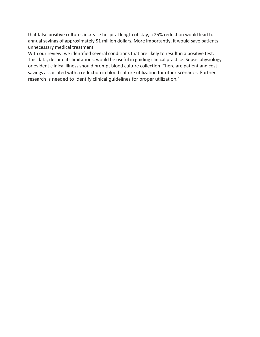that false positive cultures increase hospital length of stay, a 25% reduction would lead to annual savings of approximately \$1 million dollars. More importantly, it would save patients unnecessary medical treatment.

With our review, we identified several conditions that are likely to result in a positive test. This data, despite its limitations, would be useful in guiding clinical practice. Sepsis physiology or evident clinical illness should prompt blood culture collection. There are patient and cost savings associated with a reduction in blood culture utilization for other scenarios. Further research is needed to identify clinical guidelines for proper utilization."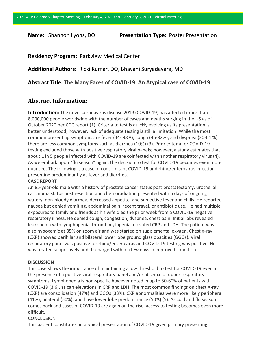**Name:** Shannon Lyons, DO **Presentation Type:** Poster Presentation

# **Residency Program:** Parkview Medical Center

**Additional Authors:** Ricki Kumar, DO, Bhavani Suryadevara, MD

# **Abstract Title: The Many Faces of COVID-19: An Atypical case of COVID-19**

# **Abstract Information:**

**Introduction**: The novel coronavirus disease 2019 (COVID-19) has affected more than 8,000,000 people worldwide with the number of cases and deaths surging in the US as of October 2020 per CDC report (1). Criteria to test is quickly evolving as its presentation is better understood; however, lack of adequate testing is still a limitation. While the most common presenting symptoms are fever (44- 98%), cough (46-82%), and dyspnea (20-64 %), there are less common symptoms such as diarrhea (10%) (3). Prior criteria for COVID-19 testing excluded those with positive respiratory viral panels; however, a study estimates that about 1 in 5 people infected with COVID-19 are coinfected with another respiratory virus (4). As we embark upon "flu season" again, the decision to test for COVID-19 becomes even more nuanced. The following is a case of concomitant COVID-19 and rhino/enterovirus infection presenting predominantly as fever and diarrhea.

### **CASE REPORT**

An 85-year-old male with a history of prostate cancer status post prostatectomy, urothelial carcinoma status post resection and chemoradiation presented with 5 days of ongoing watery, non-bloody diarrhea, decreased appetite, and subjective fever and chills. He reported nausea but denied vomiting, abdominal pain, recent travel, or antibiotic use. He had multiple exposures to family and friends as his wife died the prior week from a COVID-19 negative respiratory illness. He denied cough, congestion, dyspnea, chest pain. Initial labs revealed leukopenia with lymphopenia, thrombocytopenia, elevated CRP and LDH. The patient was also hypoxemic at 85% on room air and was started on supplemental oxygen. Chest x-ray (CXR) showed perihilar and bilateral lower lobe ground glass opacities (GGOs). Viral respiratory panel was positive for rhino/enterovirus and COVID-19 testing was positive. He was treated supportively and discharged within a few days in improved condition.

# **DISCUSSION**

This case shows the importance of maintaining a low threshold to test for COVID-19 even in the presence of a positive viral respiratory panel and/or absence of upper respiratory symptoms. Lymphopenia is non-specific however noted in up to 50-60% of patients with COVID-19 (3,6), as can elevations in CRP and LDH. The most common findings on chest X-ray (CXR) are consolidation (47%) and GGOs (33%). CXR abnormalities were more likely peripheral (41%), bilateral (50%), and have lower lobe predominance (50%) (5). As cold and flu season comes back and cases of COVID-19 are again on the rise, access to testing becomes even more difficult.

# CONCLUSION

This patient constitutes an atypical presentation of COVID-19 given primary presenting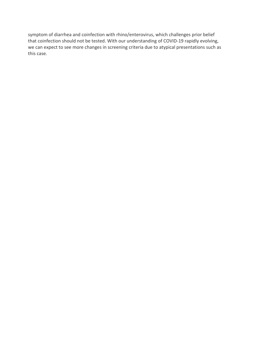symptom of diarrhea and coinfection with rhino/enterovirus, which challenges prior belief that coinfection should not be tested. With our understanding of COVID-19 rapidly evolving, we can expect to see more changes in screening criteria due to atypical presentations such as this case.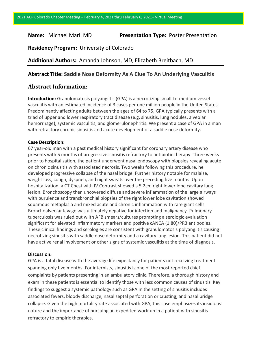# **Name:** Michael Marll MD **Presentation Type:** Poster Presentation

**Residency Program:** University of Colorado

**Additional Authors:** Amanda Johnson, MD, Elizabeth Breitbach, MD

# **Abstract Title: Saddle Nose Deformity As A Clue To An Underlying Vasculitis**

# **Abstract Information:**

**Introduction:** Granulomatosis polyangiitis (GPA) is a necrotizing small-to-medium vessel vasculitis with an estimated incidence of 3 cases per one million people in the United States. Predominantly affecting adults between the ages of 64 to 75, GPA typically presents with a triad of upper and lower respiratory tract disease (e.g. sinusitis, lung nodules, alveolar hemorrhage), systemic vasculitis, and glomerulonephritis. We present a case of GPA in a man with refractory chronic sinusitis and acute development of a saddle nose deformity.

## **Case Description:**

67 year-old man with a past medical history significant for coronary artery disease who presents with 5 months of progressive sinusitis refractory to antibiotic therapy. Three weeks prior to hospitalization, the patient underwent nasal endoscopy with biopsies revealing acute on chronic sinusitis with associated necrosis. Two weeks following this procedure, he developed progressive collapse of the nasal bridge. Further history notable for malaise, weight loss, cough, dyspnea, and night sweats over the preceding five months. Upon hospitalization, a CT Chest with IV Contrast showed a 5.2cm right lower lobe cavitary lung lesion. Bronchoscopy then uncovered diffuse and severe inflammation of the large airways with purulence and transbronchial biopsies of the right lower lobe cavitation showed squamous metaplasia and mixed acute and chronic inflammation with rare giant cells. Bronchoalveolar lavage was ultimately negative for infection and malignancy. Pulmonary tuberculosis was ruled out w ith AFB smears/cultures prompting a serologic evaluation significant for elevated inflammatory markers and positive cANCA (1:80)/PR3 antibodies. These clinical findings and serologies are consistent with granulomatosis polyangiitis causing necrotizing sinusitis with saddle nose deformity and a cavitary lung lesion. This patient did not have active renal involvement or other signs of systemic vasculitis at the time of diagnosis.

### **Discussion:**

GPA is a fatal disease with the average life expectancy for patients not receiving treatment spanning only five months. For internists, sinusitis is one of the most reported chief complaints by patients presenting in an ambulatory clinic. Therefore, a thorough history and exam in these patients is essential to identify those with less common causes of sinusitis. Key findings to suggest a systemic pathology such as GPA in the setting of sinusitis includes associated fevers, bloody discharge, nasal septal perforation or crusting, and nasal bridge collapse. Given the high mortality rate associated with GPA, this case emphasizes its insidious nature and the importance of pursuing an expedited work-up in a patient with sinusitis refractory to empiric therapies.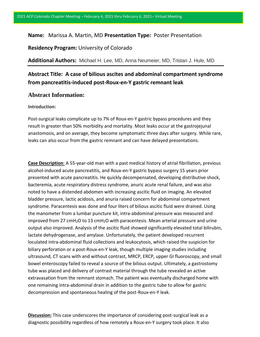# **Name:** Marissa A. Martin, MD **Presentation Type:** Poster Presentation

**Residency Program:** University of Colorado

**Additional Authors:** Michael H. Lee, MD, Anna Neumeier, MD, Tristan J. Hule, MD

# **Abstract Title: A case of bilious ascites and abdominal compartment syndrome from pancreatitis-induced post-Roux-en-Y gastric remnant leak**

# **Abstract Information:**

#### **Introduction:**

Post-surgical leaks complicate up to 7% of Roux-en-Y gastric bypass procedures and they result in greater than 50% morbidity and mortality. Most leaks occur at the gastrojejunal anastomosis, and on average, they become symptomatic three days after surgery. While rare, leaks can also occur from the gastric remnant and can have delayed presentations.

**Case Description**: A 55-year-old man with a past medical history of atrial fibrillation, previous alcohol-induced acute pancreatitis, and Roux-en-Y gastric bypass surgery 15 years prior presented with acute pancreatitis. He quickly decompensated, developing distributive shock, bacteremia, acute respiratory distress syndrome, anuric acute renal failure, and was also noted to have a distended abdomen with increasing ascitic fluid on imaging. An elevated bladder pressure, lactic acidosis, and anuria raised concern for abdominal compartment syndrome. Paracentesis was done and four liters of bilious ascitic fluid were drained. Using the manometer from a lumbar puncture kit, intra-abdominal pressure was measured and improved from 27  $cmH<sub>2</sub>O$  to 13  $cmH<sub>2</sub>O$  with paracentesis. Mean arterial pressure and urine output also improved. Analysis of the ascitic fluid showed significantly elevated total bilirubin, lactate dehydrogenase, and amylase. Unfortunately, the patient developed recurrent loculated intra-abdominal fluid collections and leukocytosis, which raised the suspicion for biliary perforation or a post-Roux-en-Y leak, though multiple imaging studies including ultrasound, CT scans with and without contrast, MRCP, ERCP, upper GI fluoroscopy, and small bowel enteroscopy failed to reveal a source of the bilious output. Ultimately, a gastrostomy tube was placed and delivery of contrast material through the tube revealed an active extravasation from the remnant stomach. The patient was eventually discharged home with one remaining intra-abdominal drain in addition to the gastric tube to allow for gastric decompression and spontaneous healing of the post-Roux-en-Y leak.

**Discussion:** This case underscores the importance of considering post-surgical leak as a diagnostic possibility regardless of how remotely a Roux-en-Y surgery took place. It also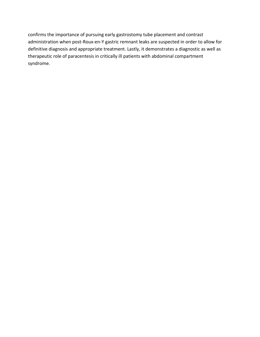confirms the importance of pursuing early gastrostomy tube placement and contrast administration when post-Roux-en-Y gastric remnant leaks are suspected in order to allow for definitive diagnosis and appropriate treatment. Lastly, it demonstrates a diagnostic as well as therapeutic role of paracentesis in critically ill patients with abdominal compartment syndrome.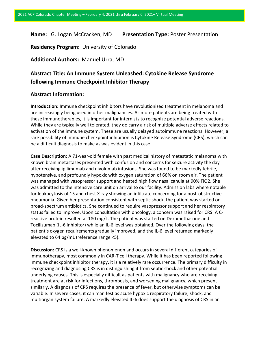# **Name:** G. Logan McCracken, MD **Presentation Type:** Poster Presentation

**Residency Program:** University of Colorado

**Additional Authors:** Manuel Urra, MD

# **Abstract Title: An Immune System Unleashed: Cytokine Release Syndrome following Immune Checkpoint Inhibitor Therapy**

# **Abstract Information:**

**Introduction:** Immune checkpoint inhibitors have revolutionized treatment in melanoma and are increasingly being used in other malignancies. As more patients are being treated with these immunotherapies, it is important for internists to recognize potential adverse reactions. While they are typically well tolerated, they do carry a risk of multiple adverse effects related to activation of the immune system. These are usually delayed autoimmune reactions. However, a rare possibility of immune checkpoint inhibition is Cytokine Release Syndrome (CRS), which can be a difficult diagnosis to make as was evident in this case.

**Case Description:** A 71-year-old female with past medical history of metastatic melanoma with known brain metastases presented with confusion and concerns for seizure activity the day after receiving ipilimumab and nivolumab infusions. She was found to be markedly febrile, hypotensive, and profoundly hypoxic with oxygen saturation of 66% on room air. The patient was managed with vasopressor support and heated high flow nasal canula at 90% FiO2. She was admitted to the intensive care unit on arrival to our facility. Admission labs where notable for leukocytosis of 15 and chest X-ray showing an infiltrate concerning for a post-obstructive pneumonia. Given her presentation consistent with septic shock, the patient was started on broad-spectrum antibiotics. She continued to require vasopressor support and her respiratory status failed to improve. Upon consultation with oncology, a concern was raised for CRS. A Creactive protein resulted at 180 mg/L. The patient was started on Dexamethasone and Tocilizumab (IL-6 inhibitor) while an IL-6 level was obtained. Over the following days, the patient's oxygen requirements gradually improved, and the IL-6 level returned markedly elevated to 64 pg/mL (reference range <5).

**Discussion:** CRS is a well-known phenomenon and occurs in several different categories of immunotherapy, most commonly in CAR-T cell therapy. While it has been reported following immune checkpoint inhibitor therapy, it is a relatively rare occurrence. The primary difficulty in recognizing and diagnosing CRS is in distinguishing it from septic shock and other potential underlying causes. This is especially difficult as patients with malignancy who are receiving treatment are at risk for infections, thrombosis, and worsening malignancy, which present similarly. A diagnosis of CRS requires the presence of fever, but otherwise symptoms can be variable. In severe cases, it can manifest as acute hypoxic respiratory failure, shock, and multiorgan system failure. A markedly elevated IL-6 does support the diagnosis of CRS in an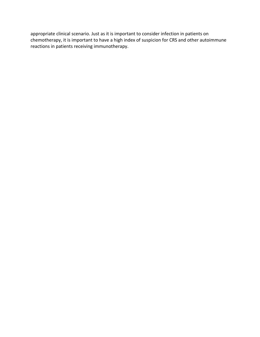appropriate clinical scenario. Just as it is important to consider infection in patients on chemotherapy, it is important to have a high index of suspicion for CRS and other autoimmune reactions in patients receiving immunotherapy.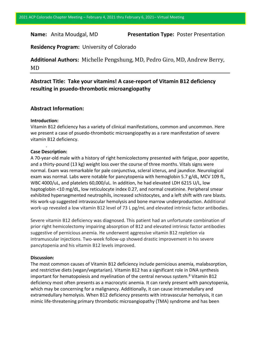**Name:** Anita Moudgal, MD **Presentation Type:** Poster Presentation

**Residency Program:** University of Colorado

**Additional Authors:** Michelle Pengshung, MD, Pedro Giro, MD, Andrew Berry, MD

# **Abstract Title: Take your vitamins! A case-report of Vitamin B12 deficiency resulting in psuedo-thrombotic microangiopathy**

# **Abstract Information:**

### **Introduction:**

Vitamin B12 deficiency has a variety of clinical manifestations, common and uncommon. Here we present a case of psuedo-thrombotic microangiopathy as a rare manifestation of severe vitamin B12 deficiency.

# . **Case Description:**

A 70-year-old male with a history of right hemicolectomy presented with fatigue, poor appetite, and a thirty-pound (13 kg) weight loss over the course of three months. Vitals signs were normal. Exam was remarkable for pale conjunctiva, scleral icterus, and jaundice. Neurological exam was normal. Labs were notable for pancytopenia with hemoglobin 5.7 g/dL, MCV 109 fL, WBC 4000/uL, and platelets 60,000/uL. In addition, he had elevated LDH 6215 U/L, low haptoglobin <10 mg/dL, low reticulocyte index 0.27, and normal creatinine. Peripheral smear exhibited hypersegmented neutrophils, increased schistocytes, and a left shift with rare blasts. His work-up suggested intravascular hemolysis and bone marrow underproduction. Additional work-up revealed a low vitamin B12 level of 73 L pg/mL and elevated intrinsic factor antibodies.

Severe vitamin B12 deficiency was diagnosed. This patient had an unfortunate combination of prior right hemicolectomy impairing absorption of B12 and elevated intrinsic factor antibodies suggestive of pernicious anemia. He underwent aggressive vitamin B12 repletion via intramuscular injections. Two-week follow-up showed drastic improvement in his severe pancytopenia and his vitamin B12 levels improved.

#### **Discussion:**

The most common causes of Vitamin B12 deficiency include pernicious anemia, malabsorption, and restrictive diets (vegan/vegetarian). Vitamin B12 has a significant role in DNA synthesis important for hematopoiesis and myelination of the central nervous system.<sup>8</sup> Vitamin B12 deficiency most often presents as a macrocytic anemia. It can rarely present with pancytopenia, which may be concerning for a malignancy. Additionally, it can cause intramedullary and extramedullary hemolysis. When B12 deficiency presents with intravascular hemolysis, it can mimic life-threatening primary thrombotic microangiopathy (TMA) syndrome and has been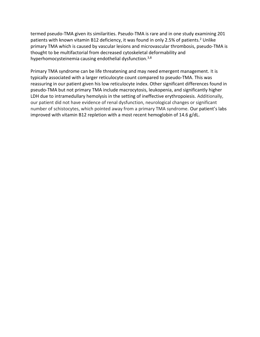termed pseudo-TMA given its similarities. Pseudo-TMA is rare and in one study examining 201 patients with known vitamin B12 deficiency, it was found in only 2.5% of patients.<sup>2</sup> Unlike primary TMA which is caused by vascular lesions and microvascular thrombosis, pseudo-TMA is thought to be multifactorial from decreased cytoskeletal deformability and hyperhomocysteinemia causing endothelial dysfunction.<sup>3,8</sup>

Primary TMA syndrome can be life threatening and may need emergent management. It is typically associated with a larger reticulocyte count compared to pseudo-TMA. This was reassuring in our patient given his low reticulocyte index. Other significant differences found in pseudo-TMA but not primary TMA include macrocytosis, leukopenia, and significantly higher LDH due to intramedullary hemolysis in the setting of ineffective erythropoiesis. Additionally, our patient did not have evidence of renal dysfunction, neurological changes or significant number of schistocytes, which pointed away from a primary TMA syndrome. Our patient's labs improved with vitamin B12 repletion with a most recent hemoglobin of 14.6 g/dL.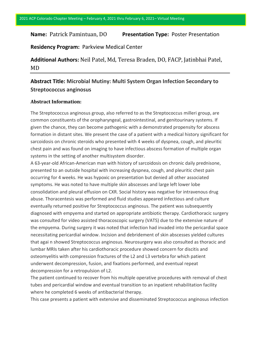# **Name:** Patrick Pamintuan, DO **Presentation Type:** Poster Presentation

**Residency Program:** Parkview Medical Center

**Additional Authors:** Neil Patel, Md, Teresa Braden, DO, FACP, Jatinbhai Patel, MD

# **Abstract Title: Microbial Mutiny: Multi System Organ Infection Secondary to Streptococcus anginosus**

# **Abstract Information:**

The Streptococcus anginosus group, also referred to as the Streptococcus milleri group, are common constituents of the oropharyngeal, gastrointestinal, and genitourinary systems. If given the chance, they can become pathogenic with a demonstrated propensity for abscess formation in distant sites. We present the case of a patient with a medical history significant for sarcoidosis on chronic steroids who presented with 4 weeks of dyspnea, cough, and pleuritic chest pain and was found on imaging to have infectious abscess formation of multiple organ systems in the setting of another multisystem disorder.

A 63-year-old African-American man with history of sarcoidosis on chronic daily prednisone, presented to an outside hospital with increasing dyspnea, cough, and pleuritic chest pain occurring for 4 weeks. He was hypoxic on presentation but denied all other associated symptoms. He was noted to have multiple skin abscesses and large left lower lobe consolidation and pleural effusion on CXR. Social history was negative for intravenous drug abuse. Thoracentesis was performed and fluid studies appeared infectious and culture eventually returned positive for Streptococcus anginosus. The patient was subsequently diagnosed with empyema and started on appropriate antibiotic therapy. Cardiothoracic surgery was consulted for video assisted thoracoscopic surgery (VATS) due to the extensive nature of the empyema. During surgery it was noted that infection had invaded into the pericardial space necessitating pericardial window. Incision and debridement of skin abscesses yielded cultures that agai n showed Streptococcus anginosus. Neurosurgery was also consulted as thoracic and lumbar MRIs taken after his cardiothoracic procedure showed concern for discitis and osteomyelitis with compression fractures of the L2 and L3 vertebra for which patient underwent decompression, fusion, and fixations performed, and eventual repeat decompression for a retropulsion of L2.

The patient continued to recover from his multiple operative procedures with removal of chest tubes and pericardial window and eventual transition to an inpatient rehabilitation facility where he completed 6 weeks of antibacterial therapy.

This case presents a patient with extensive and disseminated Streptococcus anginosus infection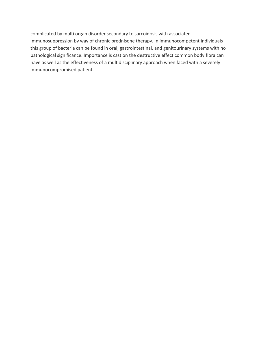complicated by multi organ disorder secondary to sarcoidosis with associated immunosuppression by way of chronic prednisone therapy. In immunocompetent individuals this group of bacteria can be found in oral, gastrointestinal, and genitourinary systems with no pathological significance. Importance is cast on the destructive effect common body flora can have as well as the effectiveness of a multidisciplinary approach when faced with a severely immunocompromised patient.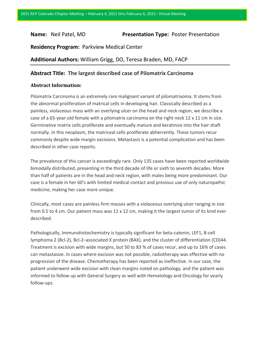# **Name:** Neil Patel, MD **Presentation Type:** Poster Presentation

**Residency Program:** Parkview Medical Center

**Additional Authors:** William Grigg, DO, Teresa Braden, MD, FACP

# **Abstract Title: The largest described case of Pilomatrix Carcinoma**

# **Abstract Information:**

Pilomatrix Carcinoma is an extremely rare malignant variant of pilomatrixoma. It stems from the abnormal proliferation of matrical cells in developing hair. Classically described as a painless, violaceous mass with an overlying ulcer on the head and neck region, we describe a case of a 65-year-old female with a pilomatrix carcinoma on the right neck 12 x 11 cm in size. Germinative matrix cells proliferate and eventually mature and keratinize into the hair shaft normally. In this neoplasm, the matriceal cells proliferate abherrently. These tumors recur commonly despite wide margin excisions. Metastasis is a potential complication and has been described in other case reports.

The prevalence of this cancer is exceedingly rare. Only 135 cases have been reported worldwide bimodally distributed, presenting in the third decade of life or sixth to seventh decades. More than half of patients are in the head and neck region, with males being more predominant. Our case is a female in her 60's with limited medical contact and previous use of only naturopathic medicine, making her case more unique.

Clinically, most cases are painless firm masses with a violaceous overlying ulcer ranging in size from 0.5 to 4 cm. Our patient mass was 11 x 12 cm, making it the largest tumor of its kind ever described.

Pathologically, Immunohistochemistry is typically significant for beta-catenin, LEF1, B-cell lymphoma 2 (Bcl-2), Bcl-2–associated X protein (BAX), and the cluster of differentiation (CD)44. Treatment is excision with wide margins, but 50 to 83 % of cases recur, and up to 16% of cases can metastasize. In cases where excision was not possible, radiotherapy was effective with no progression of the disease. Chemotherapy has been reported as ineffective. In our case, the patient underwent wide excision with clean margins noted on pathology, and the patient was informed to follow up with General Surgery as well with Hematology and Oncology for yearly follow-ups.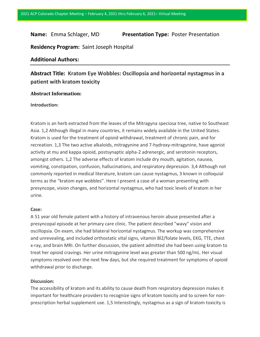# **Name:** Emma Schlager, MD **Presentation Type:** Poster Presentation

**Residency Program:** Saint Joseph Hospital

# **Additional Authors:**

# **Abstract Title: Kratom Eye Wobbles: Oscillopsia and horizontal nystagmus in a patient with kratom toxicity**

# **Abstract Information:**

#### **Introduction:**

Kratom is an herb extracted from the leaves of the Mitragyna speciosa tree, native to Southeast Asia. 1,2 Although illegal in many countries, it remains widely available in the United States. Kratom is used for the treatment of opioid withdrawal, treatment of chronic pain, and for recreation. 1,3 The two active alkaloids, mitragynine and 7-hydroxy-mitragynine, have agonist activity at mu and kappa opioid, postsynaptic alpha-2 adrenergic, and serotonin receptors, amongst others. 1,2 The adverse effects of kratom include dry mouth, agitation, nausea, vomiting, constipation, confusion, hallucinations, and respiratory depression. 3,4 Although not commonly reported in medical literature, kratom can cause nystagmus, 3 known in colloquial terms as the "kratom eye wobbles". Here I present a case of a woman presenting with presyncope, vision changes, and horizontal nystagmus, who had toxic levels of kratom in her urine.

#### **Case:**

A 51 year old female patient with a history of intravenous heroin abuse presented after a presyncopal episode at her primary care clinic. The patient described "wavy" vision and oscillopsia. On exam, she had bilateral horizontal nystagmus. The workup was comprehensive and unrevealing, and included orthostatic vital signs, vitamin Bl2/folate levels, EKG, TTE, chest x-ray, and brain MRI. On further discussion, the patient admitted she had been using kratom to treat her opioid cravings. Her urine mitragynine level was greater than 500 ng/mL. Her visual symptoms resolved over the next few days, but she required treatment for symptoms of opioid withdrawal prior to discharge.

#### **Discussion:**

The accessibility of kratom and its ability to cause death from respiratory depression makes it important for healthcare providers to recognize signs of kratom toxicity and to screen for nonprescription herbal supplement use. 1,5 Interestingly, nystagmus as a sign of kratom toxicity is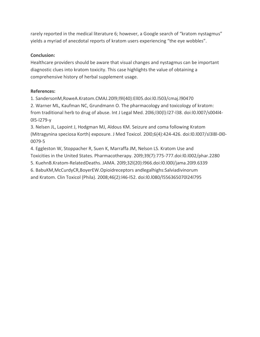rarely reported in the medical literature 6; however, a Google search of "kratom nystagmus" yields a myriad of anecdotal reports of kratom users experiencing "the eye wobbles".

# **Conclusion:**

Healthcare providers should be aware that visual changes and nystagmus can be important diagnostic clues into kratom toxicity. This case highlights the value of obtaining a comprehensive history of herbal supplement usage.

# **References:**

1. SandersonM,RoweA.Kratom.CMAJ.20l9;l9l(40):Ell05.doi:l0.l503/cmaj.l90470

2. Warner ML, Kaufman NC, Grundmann O. The pharmacology and toxicology of kratom: from traditional herb to drug of abuse. Int J Legal Med. 20l6;l30(l):l27-l38. doi:l0.l007/s004l4- 0l5-l279-y

3. Nelsen JL, Lapoint J, Hodgman MJ, Aldous KM. Seizure and coma following Kratom (Mitragynina speciosa Korth) exposure. J Med Toxicol. 20l0;6(4):424-426. doi:l0.l007/sl3l8l-0l0- 0079-5

4. Eggleston W, Stoppacher R, Suen K, Marraffa JM, Nelson LS. Kratom Use and Toxicities in the United States. Pharmacotherapy. 20l9;39(7):775-777.doi:l0.l002/phar.2280

5. KuehnB.Kratom-RelatedDeaths. JAMA. 20l9;32l(20):l966.doi:l0.l00l/jama.20l9.6339

6. BabuKM,McCurdyCR,BoyerEW.Opioidreceptors andlegalhighs:Salviadivinorum

and Kratom. Clin Toxicol (Phila). 2008;46(2):l46-l52. doi:l0.l080/l556365070l24l795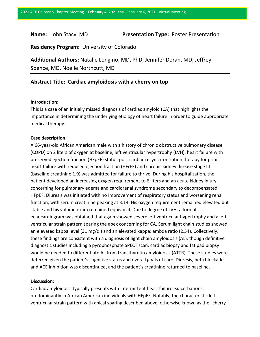**Name:** John Stacy, MD **Presentation Type:** Poster Presentation

**Residency Program:** University of Colorado

**Additional Authors:** Natalie Longino, MD, PhD, Jennifer Doran, MD, Jeffrey Spence, MD, Noelle Northcutt, MD

# **Abstract Title: Cardiac amyloidosis with a cherry on top**

#### **Introduction:**

This is a case of an initially missed diagnosis of cardiac amyloid (CA) that highlights the importance in determining the underlying etiology of heart failure in order to guide appropriate medical therapy.

#### **Case description:**

A 66-year-old African American male with a history of chronic obstructive pulmonary disease (COPD) on 2 liters of oxygen at baseline, left ventricular hypertrophy (LVH), heart failure with preserved ejection fraction (HFpEF) status-post cardiac resynchronization therapy for prior heart failure with reduced ejection fraction (HFrEF) and chronic kidney disease stage III (baseline creatinine 1.9) was admitted for failure to thrive. During his hospitalization, the patient developed an increasing oxygen requirement to 6 liters and an acute kidney injury concerning for pulmonary edema and cardiorenal syndrome secondary to decompensated HFpEF. Diuresis was initiated with no improvement of respiratory status and worsening renal function, with serum creatinine peaking at 3.14. His oxygen requirement remained elevated but stable and his volume exam remained equivocal. Due to degree of LVH, a formal echocardiogram was obtained that again showed severe left ventricular hypertrophy and a left ventricular strain pattern sparing the apex concerning for CA. Serum light chain studies showed an elevated kappa level (31 mg/dl) and an elevated kappa:lambda ratio (2.54). Collectively, these findings are consistent with a diagnosis of light chain amyloidosis (AL), though definitive diagnostic studies including a pyrophosphate SPECT scan, cardiac biopsy and fat pad biopsy would be needed to differentiate AL from transthyretin amyloidosis (ATTR). These studies were deferred given the patient's cognitive status and overall goals of care. Diuresis, beta blockade and ACE inhibition was discontinued, and the patient's creatinine returned to baseline.

#### **Discussion:**

Cardiac amyloidosis typically presents with intermittent heart failure exacerbations, predominantly in African American individuals with HFpEF. Notably, the characteristic left ventricular strain pattern with apical sparing described above, otherwise known as the "cherry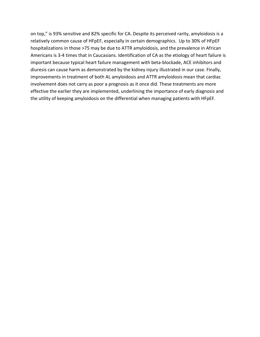on top," is 93% sensitive and 82% specific for CA. Despite its perceived rarity, amyloidosis is a relatively common cause of HFpEF, especially in certain demographics. Up to 30% of HFpEF hospitalizations in those >75 may be due to ATTR amyloidosis, and the prevalence in African Americans is 3-4 times that in Caucasians. Identification of CA as the etiology of heart failure is important because typical heart failure management with beta-blockade, ACE inhibitors and diuresis can cause harm as demonstrated by the kidney injury illustrated in our case. Finally, improvements in treatment of both AL amyloidosis and ATTR amyloidosis mean that cardiac involvement does not carry as poor a prognosis as it once did. These treatments are more effective the earlier they are implemented, underlining the importance of early diagnosis and the utility of keeping amyloidosis on the differential when managing patients with HFpEF.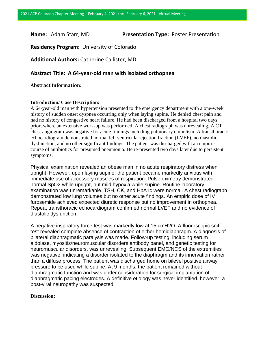**Name:** Adam Starr, MD **Presentation Type:** Poster Presentation

**Residency Program:** University of Colorado

**Additional Authors:** Catherine Callister, MD

# **Abstract Title: A 64-year-old man with isolated orthopnea**

### **Abstract Information:**

#### **Introduction/ Case Description:**

A 64-year-old man with hypertension presented to the emergency department with a one-week history of sudden onset dyspnea occurring only when laying supine. He denied chest pain and had no history of congestive heart failure. He had been discharged from a hospital two days prior, where an extensive work-up was performed. A chest radiograph was unrevealing. A CT chest angiogram was negative for acute findings including pulmonary embolism. A transthoracic echocardiogram demonstrated normal left ventricular ejection fraction (LVEF), no diastolic dysfunction, and no other significant findings. The patient was discharged with an empiric course of antibiotics for presumed pneumonia. He re-presented two days later due to persistent symptoms.

Physical examination revealed an obese man in no acute respiratory distress when upright. However, upon laying supine, the patient became markedly anxious with immediate use of accessory muscles of respiration. Pulse oximetry demonstrated normal SpO2 while upright, but mild hypoxia while supine. Routine laboratory examination was unremarkable. TSH, CK, and HbA1c were normal. A chest radiograph demonstrated low lung volumes but no other acute findings. An empiric dose of IV furosemide achieved expected diuretic response but no improvement in orthopnea. Repeat transthoracic echocardiogram confirmed normal LVEF and no evidence of diastolic dysfunction.

A negative inspiratory force test was markedly low at 15 cmH2O. A fluoroscopic sniff test revealed complete absence of contraction of either hemidiaphragm. A diagnosis of bilateral diaphragmatic paralysis was made. Follow-up testing, including serum aldolase, myositis/neuromuscular disorders antibody panel, and genetic testing for neuromuscular disorders, was unrevealing. Subsequent EMG/NCS of the extremities was negative, indicating a disorder isolated to the diaphragm and its innervation rather than a diffuse process. The patient was discharged home on bilevel positive airway pressure to be used while supine. At 9 months, the patient remained without diaphragmatic function and was under consideration for surgical implantation of diaphragmatic pacing electrodes. A definitive etiology was never identified, however, a post-viral neuropathy was suspected.

#### **Discussion:**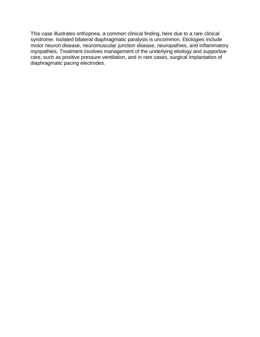This case illustrates orthopnea, a common clinical finding, here due to a rare clinical syndrome. Isolated bilateral diaphragmatic paralysis is uncommon. Etiologies include motor neuron disease, neuromuscular junction disease, neuropathies, and inflammatory myopathies. Treatment involves management of the underlying etiology and supportive care, such as positive pressure ventilation, and in rare cases, surgical implantation of diaphragmatic pacing electrodes.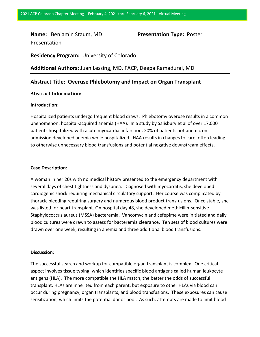**Name:** Benjamin Staum, MD **Presentation Type:** Poster Presentation

**Residency Program:** University of Colorado

**Additional Authors:** Juan Lessing, MD, FACP, Deepa Ramadurai, MD

# **Abstract Title: Overuse Phlebotomy and Impact on Organ Transplant**

# **Abstract Information:**

### **Introduction**:

Hospitalized patients undergo frequent blood draws. Phlebotomy overuse results in a common phenomenon: hospital-acquired anemia (HAA). In a study by Salisbury et al of over 17,000 patients hospitalized with acute myocardial infarction, 20% of patients not anemic on admission developed anemia while hospitalized. HAA results in changes to care, often leading to otherwise unnecessary blood transfusions and potential negative downstream effects.

#### **Case Description**:

A woman in her 20s with no medical history presented to the emergency department with several days of chest tightness and dyspnea. Diagnosed with myocarditis, she developed cardiogenic shock requiring mechanical circulatory support. Her course was complicated by thoracic bleeding requiring surgery and numerous blood product transfusions. Once stable, she was listed for heart transplant. On hospital day 48, she developed methicillin-sensitive Staphylococcus aureus (MSSA) bacteremia. Vancomycin and cefepime were initiated and daily blood cultures were drawn to assess for bacteremia clearance. Ten sets of blood cultures were drawn over one week, resulting in anemia and three additional blood transfusions.

#### **Discussion**:

The successful search and workup for compatible organ transplant is complex. One critical aspect involves tissue typing, which identifies specific blood antigens called human leukocyte antigens (HLA). The more compatible the HLA match, the better the odds of successful transplant. HLAs are inherited from each parent, but exposure to other HLAs via blood can occur during pregnancy, organ transplants, and blood transfusions. These exposures can cause sensitization, which limits the potential donor pool. As such, attempts are made to limit blood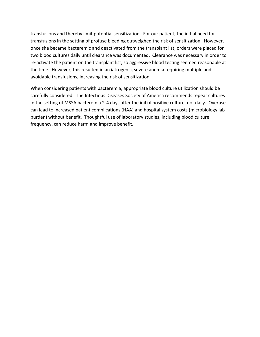transfusions and thereby limit potential sensitization. For our patient, the initial need for transfusions in the setting of profuse bleeding outweighed the risk of sensitization. However, once she became bacteremic and deactivated from the transplant list, orders were placed for two blood cultures daily until clearance was documented. Clearance was necessary in order to re-activate the patient on the transplant list, so aggressive blood testing seemed reasonable at the time. However, this resulted in an iatrogenic, severe anemia requiring multiple and avoidable transfusions, increasing the risk of sensitization.

When considering patients with bacteremia, appropriate blood culture utilization should be carefully considered. The Infectious Diseases Society of America recommends repeat cultures in the setting of MSSA bacteremia 2-4 days after the initial positive culture, not daily. Overuse can lead to increased patient complications (HAA) and hospital system costs (microbiology lab burden) without benefit. Thoughtful use of laboratory studies, including blood culture frequency, can reduce harm and improve benefit.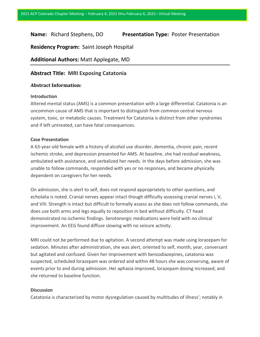# **Name:** Richard Stephens, DO **Presentation Type:** Poster Presentation

**Residency Program:** Saint Joseph Hospital

# **Additional Authors:** Matt Applegate, MD

# **Abstract Title: MRI Exposing Catatonia**

# **Abstract Information:**

### **Introduction**

Altered mental status (AMS) is a common presentation with a large differential. Catatonia is an uncommon cause of AMS that is important to distinguish from common central nervous system, toxic, or metabolic causes. Treatment for Catatonia is distinct from other syndromes and if left untreated, can have fatal consequences.

#### **Case Presentation**

A 63-year-old female with a history of alcohol use disorder, dementia, chronic pain, recent ischemic stroke, and depression presented for AMS. At baseline, she had residual weakness, ambulated with assistance, and verbalized her needs. In the days before admission, she was unable to follow commands, responded with yes or no responses, and became physically dependent on caregivers for her needs.

On admission, she is alert to self, does not respond appropriately to other questions, and echolalia is noted. Cranial nerves appear intact though difficulty assessing cranial nerves I, V, and VIII. Strength is intact but difficult to formally assess as she does not follow commands, she does use both arms and legs equally to reposition in bed without difficulty. CT head demonstrated no ischemic findings. Serotonergic medications were held with no clinical improvement. An EEG found diffuse slowing with no seizure activity.

MRI could not be performed due to agitation. A second attempt was made using lorazepam for sedation. Minutes after administration, she was alert, oriented to self, month, year, conversant but agitated and confused. Given her improvement with benzodiazepines, catatonia was suspected, scheduled lorazepam was ordered and within 48 hours she was conversing, aware of events prior to and during admission. Her aphasia improved, lorazepam dosing increased, and she returned to baseline function.

## **Discussion**

Catatonia is characterized by motor dysregulation caused by multitudes of illness'; notably in